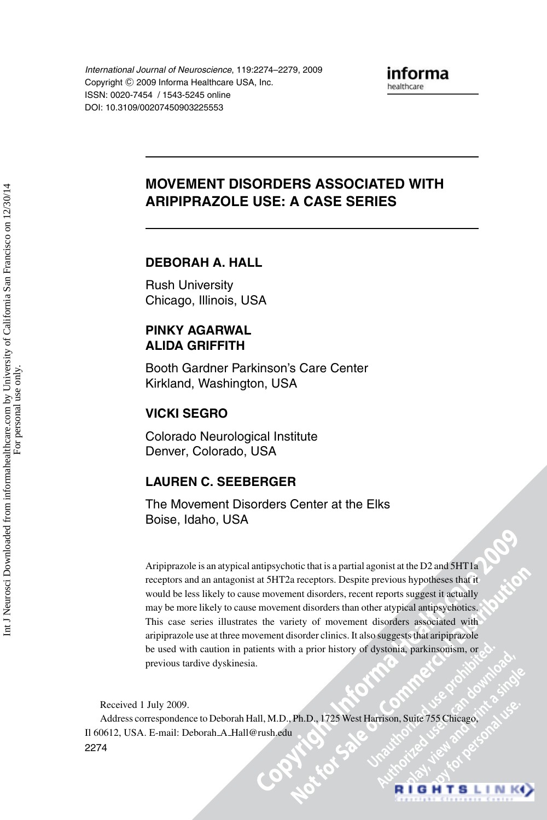International Journal of Neuroscience, 119:2274–2279, 2009 Copyright C 2009 Informa Healthcare USA, Inc. ISSN: 0020-7454 / 1543-5245 online DOI: 10.3109/00207450903225553

# **MOVEMENT DISORDERS ASSOCIATED WITH ARIPIPRAZOLE USE: A CASE SERIES**

# **DEBORAH A. HALL**

Rush University Chicago, Illinois, USA

# **PINKY AGARWAL ALIDA GRIFFITH**

Booth Gardner Parkinson's Care Center Kirkland, Washington, USA

## **VICKI SEGRO**

Colorado Neurological Institute Denver, Colorado, USA

# **LAUREN C. SEEBERGER**

The Movement Disorders Center at the Elks Boise, Idaho, USA

Aripiprazole is an atypical antipsychotic that is a partial agonist at the D2 and 5HT1a receptors and an antagonist at 5HT2a receptors. Despite previous hypotheses that it would be less likely to cause movement disorders, recent reports suggest it actually may be more likely to cause movement disorders than other atypical antipsychotics. This case series illustrates the variety of movement disorders associated with aripiprazole use at three movement disorder clinics. It also suggests that aripiprazole be used with caution in patients with a prior history of dystonia, parkinsonism, or previous tardive dyskinesia.

**RIGHTSLINK** 

Received 1 July 2009.

Address correspondence to Deborah Hall, M.D., Ph.D., 1725 West Harrison, Suite 755 Chicago, Il 60612, USA. E-mail: Deborah A Hall@rush.edu 2274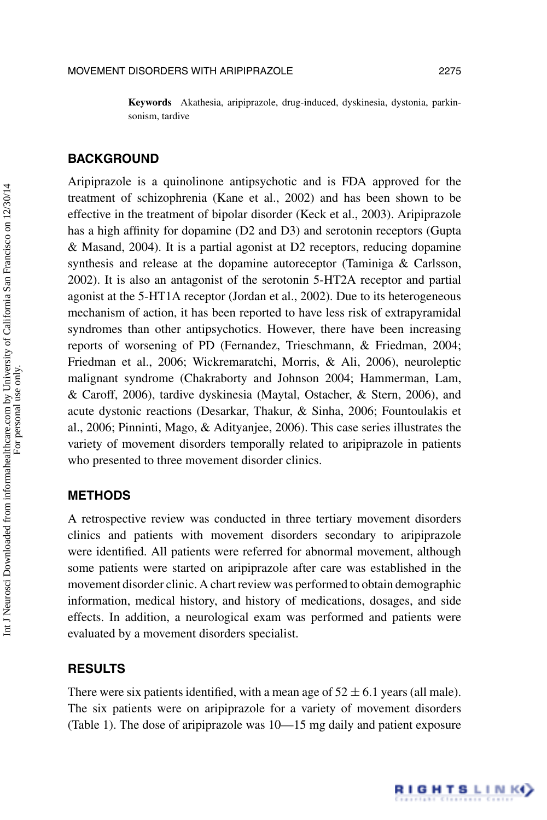**Keywords** Akathesia, aripiprazole, drug-induced, dyskinesia, dystonia, parkinsonism, tardive

#### **BACKGROUND**

Aripiprazole is a quinolinone antipsychotic and is FDA approved for the treatment of schizophrenia (Kane et al., 2002) and has been shown to be effective in the treatment of bipolar disorder (Keck et al., 2003). Aripiprazole has a high affinity for dopamine (D2 and D3) and serotonin receptors (Gupta & Masand, 2004). It is a partial agonist at D2 receptors, reducing dopamine synthesis and release at the dopamine autoreceptor (Taminiga & Carlsson, 2002). It is also an antagonist of the serotonin 5-HT2A receptor and partial agonist at the 5-HT1A receptor (Jordan et al., 2002). Due to its heterogeneous mechanism of action, it has been reported to have less risk of extrapyramidal syndromes than other antipsychotics. However, there have been increasing reports of worsening of PD (Fernandez, Trieschmann, & Friedman, 2004; Friedman et al., 2006; Wickremaratchi, Morris, & Ali, 2006), neuroleptic malignant syndrome (Chakraborty and Johnson 2004; Hammerman, Lam, & Caroff, 2006), tardive dyskinesia (Maytal, Ostacher, & Stern, 2006), and acute dystonic reactions (Desarkar, Thakur, & Sinha, 2006; Fountoulakis et al., 2006; Pinninti, Mago, & Adityanjee, 2006). This case series illustrates the variety of movement disorders temporally related to aripiprazole in patients who presented to three movement disorder clinics.

## **METHODS**

A retrospective review was conducted in three tertiary movement disorders clinics and patients with movement disorders secondary to aripiprazole were identified. All patients were referred for abnormal movement, although some patients were started on aripiprazole after care was established in the movement disorder clinic. A chart review was performed to obtain demographic information, medical history, and history of medications, dosages, and side effects. In addition, a neurological exam was performed and patients were evaluated by a movement disorders specialist.

# **RESULTS**

There were six patients identified, with a mean age of  $52 \pm 6.1$  years (all male). The six patients were on aripiprazole for a variety of movement disorders (Table 1). The dose of aripiprazole was 10—15 mg daily and patient exposure

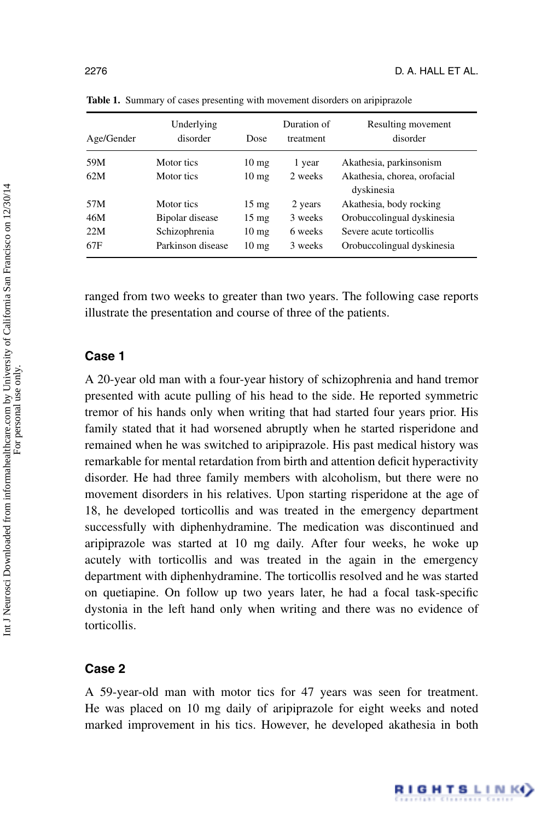| Age/Gender | Underlying<br>disorder | Dose             | Duration of<br>treatment | Resulting movement<br>disorder             |
|------------|------------------------|------------------|--------------------------|--------------------------------------------|
| 59M        | Motor tics             | 10 <sub>mg</sub> | 1 year                   | Akathesia, parkinsonism                    |
| 62M        | Motor tics             | 10 <sub>mg</sub> | 2 weeks                  | Akathesia, chorea, orofacial<br>dyskinesia |
| 57M        | Motor tics             | $15 \text{ mg}$  | 2 years                  | Akathesia, body rocking                    |
| 46M        | Bipolar disease        | $15 \text{ mg}$  | 3 weeks                  | Orobuccolingual dyskinesia                 |
| 22M        | Schizophrenia          | 10 <sub>mg</sub> | 6 weeks                  | Severe acute torticollis                   |
| 67F        | Parkinson disease      | 10 <sub>mg</sub> | 3 weeks                  | Orobuccolingual dyskinesia                 |

**Table 1.** Summary of cases presenting with movement disorders on aripiprazole

ranged from two weeks to greater than two years. The following case reports illustrate the presentation and course of three of the patients.

#### **Case 1**

A 20-year old man with a four-year history of schizophrenia and hand tremor presented with acute pulling of his head to the side. He reported symmetric tremor of his hands only when writing that had started four years prior. His family stated that it had worsened abruptly when he started risperidone and remained when he was switched to aripiprazole. His past medical history was remarkable for mental retardation from birth and attention deficit hyperactivity disorder. He had three family members with alcoholism, but there were no movement disorders in his relatives. Upon starting risperidone at the age of 18, he developed torticollis and was treated in the emergency department successfully with diphenhydramine. The medication was discontinued and aripiprazole was started at 10 mg daily. After four weeks, he woke up acutely with torticollis and was treated in the again in the emergency department with diphenhydramine. The torticollis resolved and he was started on quetiapine. On follow up two years later, he had a focal task-specific dystonia in the left hand only when writing and there was no evidence of torticollis.

### **Case 2**

A 59-year-old man with motor tics for 47 years was seen for treatment. He was placed on 10 mg daily of aripiprazole for eight weeks and noted marked improvement in his tics. However, he developed akathesia in both

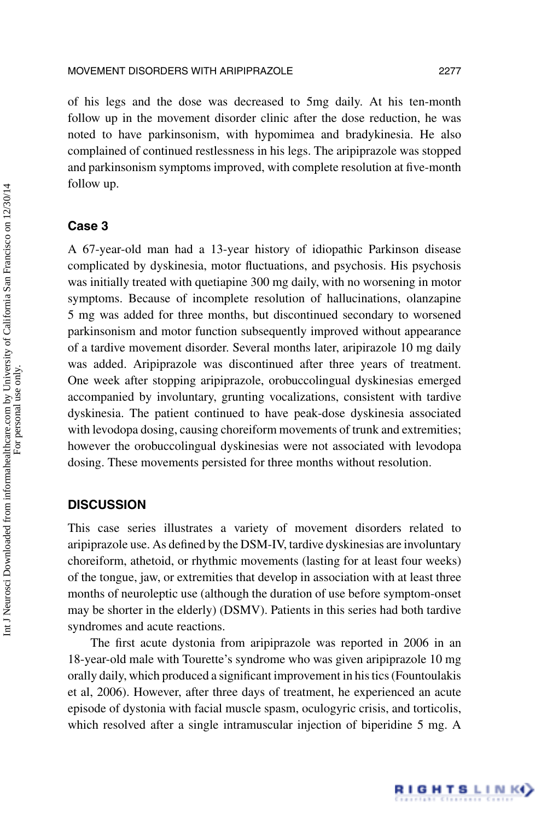of his legs and the dose was decreased to 5mg daily. At his ten-month follow up in the movement disorder clinic after the dose reduction, he was noted to have parkinsonism, with hypomimea and bradykinesia. He also complained of continued restlessness in his legs. The aripiprazole was stopped and parkinsonism symptoms improved, with complete resolution at five-month follow up.

#### **Case 3**

A 67-year-old man had a 13-year history of idiopathic Parkinson disease complicated by dyskinesia, motor fluctuations, and psychosis. His psychosis was initially treated with quetiapine 300 mg daily, with no worsening in motor symptoms. Because of incomplete resolution of hallucinations, olanzapine 5 mg was added for three months, but discontinued secondary to worsened parkinsonism and motor function subsequently improved without appearance of a tardive movement disorder. Several months later, aripirazole 10 mg daily was added. Aripiprazole was discontinued after three years of treatment. One week after stopping aripiprazole, orobuccolingual dyskinesias emerged accompanied by involuntary, grunting vocalizations, consistent with tardive dyskinesia. The patient continued to have peak-dose dyskinesia associated with levodopa dosing, causing choreiform movements of trunk and extremities; however the orobuccolingual dyskinesias were not associated with levodopa dosing. These movements persisted for three months without resolution.

#### **DISCUSSION**

This case series illustrates a variety of movement disorders related to aripiprazole use. As defined by the DSM-IV, tardive dyskinesias are involuntary choreiform, athetoid, or rhythmic movements (lasting for at least four weeks) of the tongue, jaw, or extremities that develop in association with at least three months of neuroleptic use (although the duration of use before symptom-onset may be shorter in the elderly) (DSMV). Patients in this series had both tardive syndromes and acute reactions.

The first acute dystonia from aripiprazole was reported in 2006 in an 18-year-old male with Tourette's syndrome who was given aripiprazole 10 mg orally daily, which produced a significant improvement in his tics (Fountoulakis et al, 2006). However, after three days of treatment, he experienced an acute episode of dystonia with facial muscle spasm, oculogyric crisis, and torticolis, which resolved after a single intramuscular injection of biperidine 5 mg. A

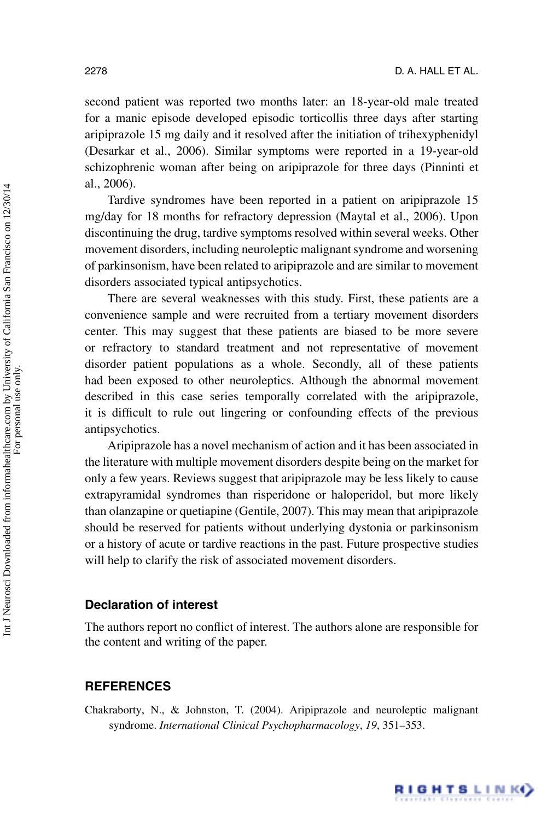RIGHTSLINK<sup>®</sup>

second patient was reported two months later: an 18-year-old male treated for a manic episode developed episodic torticollis three days after starting aripiprazole 15 mg daily and it resolved after the initiation of trihexyphenidyl (Desarkar et al., 2006). Similar symptoms were reported in a 19-year-old schizophrenic woman after being on aripiprazole for three days (Pinninti et al., 2006).

Tardive syndromes have been reported in a patient on aripiprazole 15 mg/day for 18 months for refractory depression (Maytal et al., 2006). Upon discontinuing the drug, tardive symptoms resolved within several weeks. Other movement disorders, including neuroleptic malignant syndrome and worsening of parkinsonism, have been related to aripiprazole and are similar to movement disorders associated typical antipsychotics.

There are several weaknesses with this study. First, these patients are a convenience sample and were recruited from a tertiary movement disorders center. This may suggest that these patients are biased to be more severe or refractory to standard treatment and not representative of movement disorder patient populations as a whole. Secondly, all of these patients had been exposed to other neuroleptics. Although the abnormal movement described in this case series temporally correlated with the aripiprazole, it is difficult to rule out lingering or confounding effects of the previous antipsychotics.

Aripiprazole has a novel mechanism of action and it has been associated in the literature with multiple movement disorders despite being on the market for only a few years. Reviews suggest that aripiprazole may be less likely to cause extrapyramidal syndromes than risperidone or haloperidol, but more likely than olanzapine or quetiapine (Gentile, 2007). This may mean that aripiprazole should be reserved for patients without underlying dystonia or parkinsonism or a history of acute or tardive reactions in the past. Future prospective studies will help to clarify the risk of associated movement disorders.

# **Declaration of interest**

The authors report no conflict of interest. The authors alone are responsible for the content and writing of the paper.

# **REFERENCES**

Chakraborty, N., & Johnston, T. (2004). Aripiprazole and neuroleptic malignant syndrome. *International Clinical Psychopharmacology*, *19*, 351–353.